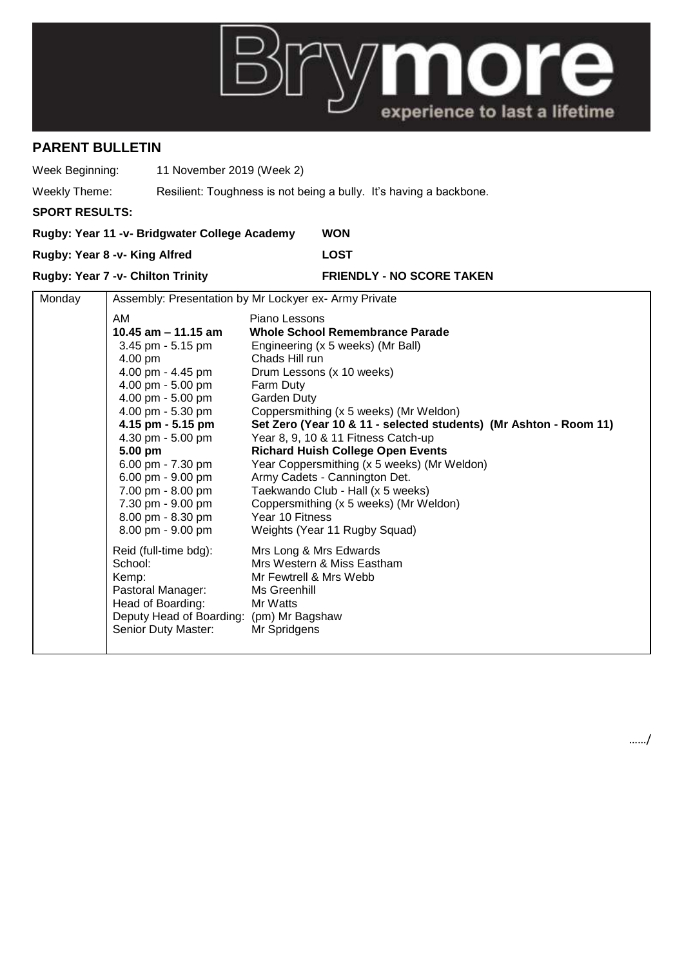

## **PARENT BULLETIN**

Week Beginning: 11 November 2019 (Week 2)

Weekly Theme: Resilient: Toughness is not being a bully. It's having a backbone.

**SPORT RESULTS:**

|                                          | Rugby: Year 11 -v- Bridgwater College Academy        | <b>WON</b>                       |  |
|------------------------------------------|------------------------------------------------------|----------------------------------|--|
| Rugby: Year 8 -v- King Alfred            |                                                      | <b>LOST</b>                      |  |
| <b>Rugby: Year 7 -v- Chilton Trinity</b> |                                                      | <b>FRIENDLY - NO SCORE TAKEN</b> |  |
| $M$ nday                                 | Assembly: Presentation by Mr Lockyer ex-Army Private |                                  |  |

| <u>IVIUI IUAV</u><br>Assembly. I resemation by IVII Lockyer ex-Allity Filiate |  |                                                                                                                                                                                                                                                                                                                                    |                                                                                                                                                                                                                                                                                                                                                                                                                                                                                                                                                                                       |
|-------------------------------------------------------------------------------|--|------------------------------------------------------------------------------------------------------------------------------------------------------------------------------------------------------------------------------------------------------------------------------------------------------------------------------------|---------------------------------------------------------------------------------------------------------------------------------------------------------------------------------------------------------------------------------------------------------------------------------------------------------------------------------------------------------------------------------------------------------------------------------------------------------------------------------------------------------------------------------------------------------------------------------------|
|                                                                               |  | AM<br>10.45 am $-$ 11.15 am<br>3.45 pm - 5.15 pm<br>4.00 pm<br>4.00 pm - 4.45 pm<br>4.00 pm - 5.00 pm<br>4.00 pm - 5.00 pm<br>4.00 pm - 5.30 pm<br>4.15 pm - 5.15 pm<br>4.30 pm - 5.00 pm<br>5.00 pm<br>6.00 pm - 7.30 pm<br>6.00 pm - 9.00 pm<br>7.00 pm - 8.00 pm<br>7.30 pm - 9.00 pm<br>8.00 pm - 8.30 pm<br>8.00 pm - 9.00 pm | Piano Lessons<br>Whole School Remembrance Parade<br>Engineering (x 5 weeks) (Mr Ball)<br>Chads Hill run<br>Drum Lessons (x 10 weeks)<br>Farm Duty<br>Garden Duty<br>Coppersmithing (x 5 weeks) (Mr Weldon)<br>Set Zero (Year 10 & 11 - selected students) (Mr Ashton - Room 11)<br>Year 8, 9, 10 & 11 Fitness Catch-up<br><b>Richard Huish College Open Events</b><br>Year Coppersmithing (x 5 weeks) (Mr Weldon)<br>Army Cadets - Cannington Det.<br>Taekwando Club - Hall (x 5 weeks)<br>Coppersmithing (x 5 weeks) (Mr Weldon)<br>Year 10 Fitness<br>Weights (Year 11 Rugby Squad) |
|                                                                               |  | Reid (full-time bdg):<br>School:<br>Kemp:<br>Pastoral Manager:<br>Head of Boarding:<br>Deputy Head of Boarding: (pm) Mr Bagshaw<br>Senior Duty Master:                                                                                                                                                                             | Mrs Long & Mrs Edwards<br>Mrs Western & Miss Eastham<br>Mr Fewtrell & Mrs Webb<br>Ms Greenhill<br>Mr Watts<br>Mr Spridgens                                                                                                                                                                                                                                                                                                                                                                                                                                                            |

……/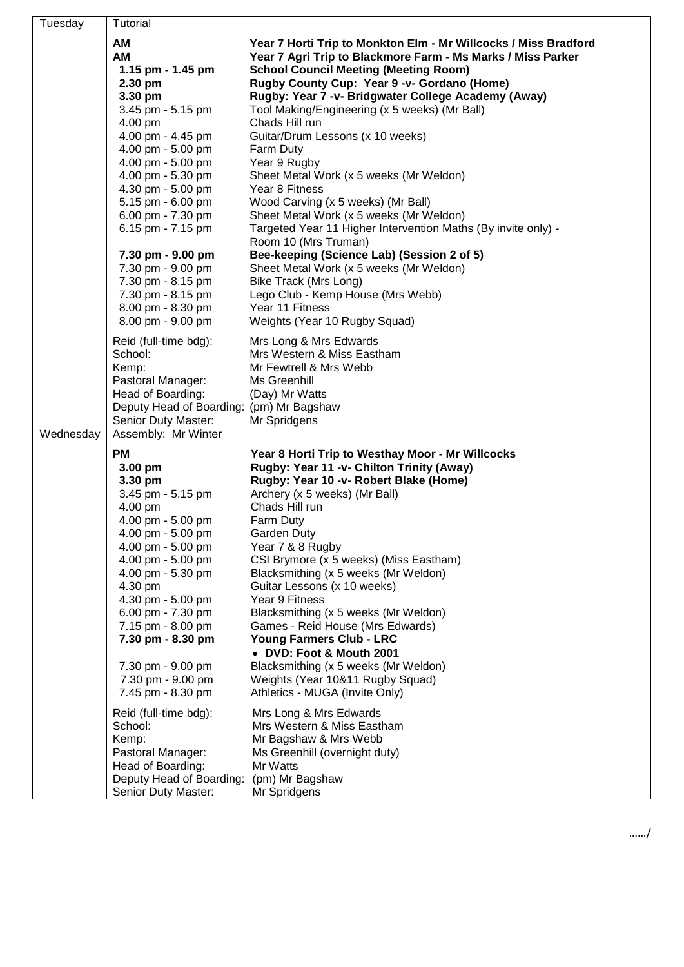| Tuesday   | Tutorial                                                      |                                                                                                                                                                                                                               |
|-----------|---------------------------------------------------------------|-------------------------------------------------------------------------------------------------------------------------------------------------------------------------------------------------------------------------------|
|           | AM<br>AM<br>1.15 pm - 1.45 pm<br>2.30 pm                      | Year 7 Horti Trip to Monkton Elm - Mr Willcocks / Miss Bradford<br>Year 7 Agri Trip to Blackmore Farm - Ms Marks / Miss Parker<br><b>School Council Meeting (Meeting Room)</b><br>Rugby County Cup: Year 9 -v- Gordano (Home) |
|           | 3.30 pm                                                       | Rugby: Year 7 -v- Bridgwater College Academy (Away)                                                                                                                                                                           |
|           | 3.45 pm - 5.15 pm<br>4.00 pm                                  | Tool Making/Engineering (x 5 weeks) (Mr Ball)<br>Chads Hill run                                                                                                                                                               |
|           | 4.00 pm - 4.45 pm                                             | Guitar/Drum Lessons (x 10 weeks)                                                                                                                                                                                              |
|           | 4.00 pm - 5.00 pm<br>4.00 pm - 5.00 pm                        | Farm Duty<br>Year 9 Rugby                                                                                                                                                                                                     |
|           | 4.00 pm - 5.30 pm                                             | Sheet Metal Work (x 5 weeks (Mr Weldon)                                                                                                                                                                                       |
|           | 4.30 pm - 5.00 pm<br>5.15 pm - 6.00 pm                        | Year 8 Fitness<br>Wood Carving (x 5 weeks) (Mr Ball)                                                                                                                                                                          |
|           | 6.00 pm - 7.30 pm                                             | Sheet Metal Work (x 5 weeks (Mr Weldon)                                                                                                                                                                                       |
|           | 6.15 pm - 7.15 pm                                             | Targeted Year 11 Higher Intervention Maths (By invite only) -<br>Room 10 (Mrs Truman)                                                                                                                                         |
|           | 7.30 pm - 9.00 pm<br>7.30 pm - 9.00 pm                        | Bee-keeping (Science Lab) (Session 2 of 5)<br>Sheet Metal Work (x 5 weeks (Mr Weldon)                                                                                                                                         |
|           | 7.30 pm - 8.15 pm                                             | Bike Track (Mrs Long)                                                                                                                                                                                                         |
|           | 7.30 pm - 8.15 pm<br>8.00 pm - 8.30 pm                        | Lego Club - Kemp House (Mrs Webb)<br>Year 11 Fitness                                                                                                                                                                          |
|           | 8.00 pm - 9.00 pm                                             | Weights (Year 10 Rugby Squad)                                                                                                                                                                                                 |
|           | Reid (full-time bdg):                                         | Mrs Long & Mrs Edwards                                                                                                                                                                                                        |
|           | School:<br>Kemp:                                              | Mrs Western & Miss Eastham<br>Mr Fewtrell & Mrs Webb                                                                                                                                                                          |
|           | Pastoral Manager:                                             | Ms Greenhill                                                                                                                                                                                                                  |
|           | Head of Boarding:<br>Deputy Head of Boarding: (pm) Mr Bagshaw | (Day) Mr Watts                                                                                                                                                                                                                |
|           | Senior Duty Master:                                           | Mr Spridgens                                                                                                                                                                                                                  |
| Wednesday | Assembly: Mr Winter                                           |                                                                                                                                                                                                                               |
|           | <b>PM</b><br>$3.00$ pm                                        | Year 8 Horti Trip to Westhay Moor - Mr Willcocks<br>Rugby: Year 11 -v- Chilton Trinity (Away)                                                                                                                                 |
|           | 3.30 pm                                                       | Rugby: Year 10 -v- Robert Blake (Home)                                                                                                                                                                                        |
|           | 3.45 pm - 5.15 pm<br>4.00 pm                                  | Archery (x 5 weeks) (Mr Ball)<br>Chads Hill run                                                                                                                                                                               |
|           | 4.00 pm - 5.00 pm                                             | Farm Duty                                                                                                                                                                                                                     |
|           | 4.00 pm - 5.00 pm<br>4.00 pm - 5.00 pm                        | Garden Duty<br>Year 7 & 8 Rugby                                                                                                                                                                                               |
|           | 4.00 pm - 5.00 pm                                             | CSI Brymore (x 5 weeks) (Miss Eastham)                                                                                                                                                                                        |
|           | 4.00 pm - 5.30 pm<br>4.30 pm                                  | Blacksmithing (x 5 weeks (Mr Weldon)<br>Guitar Lessons (x 10 weeks)                                                                                                                                                           |
|           | 4.30 pm - 5.00 pm<br>6.00 pm - 7.30 pm                        | Year 9 Fitness<br>Blacksmithing (x 5 weeks (Mr Weldon)                                                                                                                                                                        |
|           | 7.15 pm - 8.00 pm                                             | Games - Reid House (Mrs Edwards)                                                                                                                                                                                              |
|           | 7.30 pm - 8.30 pm                                             | <b>Young Farmers Club - LRC</b><br>• DVD: Foot & Mouth 2001                                                                                                                                                                   |
|           | 7.30 pm - 9.00 pm                                             | Blacksmithing (x 5 weeks (Mr Weldon)                                                                                                                                                                                          |
|           | 7.30 pm - 9.00 pm<br>7.45 pm - 8.30 pm                        | Weights (Year 10&11 Rugby Squad)<br>Athletics - MUGA (Invite Only)                                                                                                                                                            |
|           | Reid (full-time bdg):                                         | Mrs Long & Mrs Edwards                                                                                                                                                                                                        |
|           | School:                                                       | Mrs Western & Miss Eastham                                                                                                                                                                                                    |
|           | Kemp:<br>Pastoral Manager:                                    | Mr Bagshaw & Mrs Webb<br>Ms Greenhill (overnight duty)                                                                                                                                                                        |
|           | Head of Boarding:                                             | Mr Watts                                                                                                                                                                                                                      |
|           | Deputy Head of Boarding:<br>Senior Duty Master:               | (pm) Mr Bagshaw<br>Mr Spridgens                                                                                                                                                                                               |
|           |                                                               |                                                                                                                                                                                                                               |

……/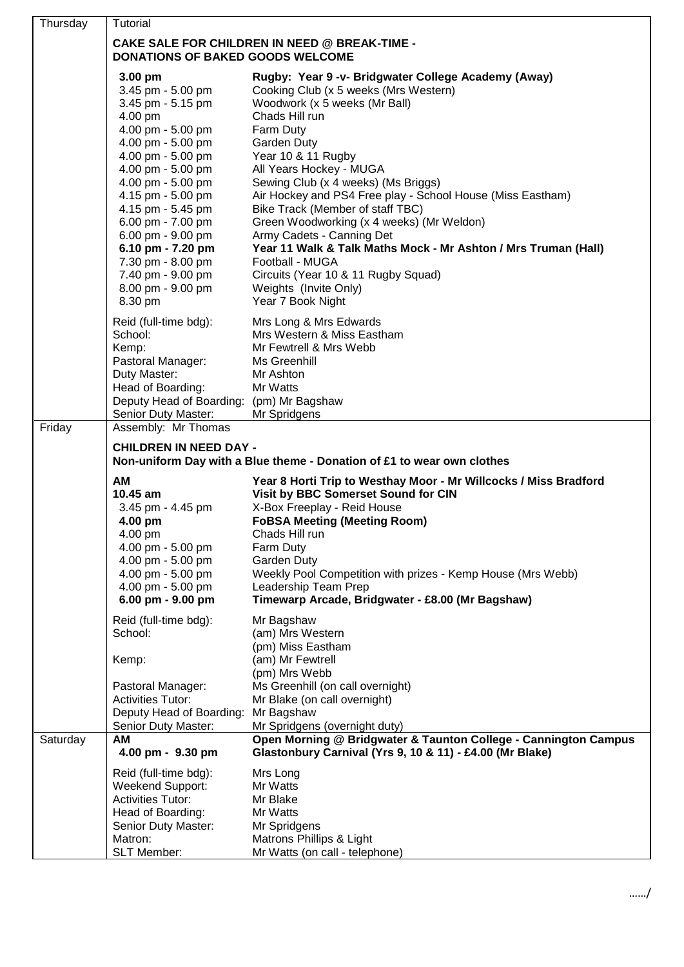| Thursday | Tutorial                                                                                                                                                                                                                                                                                                                                                 |                                                                                                                                                                                                                                                                                                                                                                                                                                                                                                                                                                                                                                  |  |
|----------|----------------------------------------------------------------------------------------------------------------------------------------------------------------------------------------------------------------------------------------------------------------------------------------------------------------------------------------------------------|----------------------------------------------------------------------------------------------------------------------------------------------------------------------------------------------------------------------------------------------------------------------------------------------------------------------------------------------------------------------------------------------------------------------------------------------------------------------------------------------------------------------------------------------------------------------------------------------------------------------------------|--|
|          | <b>CAKE SALE FOR CHILDREN IN NEED @ BREAK-TIME -</b><br><b>DONATIONS OF BAKED GOODS WELCOME</b>                                                                                                                                                                                                                                                          |                                                                                                                                                                                                                                                                                                                                                                                                                                                                                                                                                                                                                                  |  |
|          | 3.00 pm<br>3.45 pm - 5.00 pm<br>3.45 pm - 5.15 pm<br>4.00 pm<br>4.00 pm - 5.00 pm<br>4.00 pm - 5.00 pm<br>4.00 pm - 5.00 pm<br>4.00 pm - 5.00 pm<br>4.00 pm - 5.00 pm<br>4.15 pm - 5.00 pm<br>4.15 pm - 5.45 pm<br>6.00 pm - 7.00 pm<br>6.00 pm - 9.00 pm<br>6.10 pm - 7.20 pm<br>7.30 pm - 8.00 pm<br>7.40 pm - 9.00 pm<br>8.00 pm - 9.00 pm<br>8.30 pm | Rugby: Year 9 -v- Bridgwater College Academy (Away)<br>Cooking Club (x 5 weeks (Mrs Western)<br>Woodwork (x 5 weeks (Mr Ball)<br>Chads Hill run<br>Farm Duty<br><b>Garden Duty</b><br>Year 10 & 11 Rugby<br>All Years Hockey - MUGA<br>Sewing Club (x 4 weeks) (Ms Briggs)<br>Air Hockey and PS4 Free play - School House (Miss Eastham)<br>Bike Track (Member of staff TBC)<br>Green Woodworking (x 4 weeks) (Mr Weldon)<br>Army Cadets - Canning Det<br>Year 11 Walk & Talk Maths Mock - Mr Ashton / Mrs Truman (Hall)<br>Football - MUGA<br>Circuits (Year 10 & 11 Rugby Squad)<br>Weights (Invite Only)<br>Year 7 Book Night |  |
|          | Reid (full-time bdg):<br>School:<br>Kemp:<br>Pastoral Manager:<br>Duty Master:<br>Head of Boarding:<br>Deputy Head of Boarding: (pm) Mr Bagshaw<br>Senior Duty Master:                                                                                                                                                                                   | Mrs Long & Mrs Edwards<br>Mrs Western & Miss Eastham<br>Mr Fewtrell & Mrs Webb<br>Ms Greenhill<br>Mr Ashton<br>Mr Watts<br>Mr Spridgens                                                                                                                                                                                                                                                                                                                                                                                                                                                                                          |  |
| Friday   | Assembly: Mr Thomas<br><b>CHILDREN IN NEED DAY -</b><br>Non-uniform Day with a Blue theme - Donation of £1 to wear own clothes                                                                                                                                                                                                                           |                                                                                                                                                                                                                                                                                                                                                                                                                                                                                                                                                                                                                                  |  |
|          | <b>AM</b><br>10.45 am<br>3.45 pm - 4.45 pm<br>4.00 pm<br>4.00 pm<br>4.00 pm - 5.00 pm<br>4.00 pm - 5.00 pm<br>4.00 pm - 5.00 pm<br>4.00 pm - 5.00 pm<br>6.00 pm - 9.00 pm                                                                                                                                                                                | Year 8 Horti Trip to Westhay Moor - Mr Willcocks / Miss Bradford<br>Visit by BBC Somerset Sound for CIN<br>X-Box Freeplay - Reid House<br><b>FoBSA Meeting (Meeting Room)</b><br>Chads Hill run<br>Farm Duty<br>Garden Duty<br>Weekly Pool Competition with prizes - Kemp House (Mrs Webb)<br>Leadership Team Prep<br>Timewarp Arcade, Bridgwater - £8.00 (Mr Bagshaw)                                                                                                                                                                                                                                                           |  |
|          | Reid (full-time bdg):<br>School:<br>Kemp:<br>Pastoral Manager:<br><b>Activities Tutor:</b>                                                                                                                                                                                                                                                               | Mr Bagshaw<br>(am) Mrs Western<br>(pm) Miss Eastham<br>(am) Mr Fewtrell<br>(pm) Mrs Webb<br>Ms Greenhill (on call overnight)<br>Mr Blake (on call overnight)                                                                                                                                                                                                                                                                                                                                                                                                                                                                     |  |
|          | Deputy Head of Boarding:<br>Senior Duty Master:                                                                                                                                                                                                                                                                                                          | Mr Bagshaw<br>Mr Spridgens (overnight duty)                                                                                                                                                                                                                                                                                                                                                                                                                                                                                                                                                                                      |  |
| Saturday | AM<br>4.00 pm - 9.30 pm                                                                                                                                                                                                                                                                                                                                  | Open Morning @ Bridgwater & Taunton College - Cannington Campus<br>Glastonbury Carnival (Yrs 9, 10 & 11) - £4.00 (Mr Blake)                                                                                                                                                                                                                                                                                                                                                                                                                                                                                                      |  |
|          | Reid (full-time bdg):<br><b>Weekend Support:</b><br><b>Activities Tutor:</b><br>Head of Boarding:<br>Senior Duty Master:<br>Matron:<br>SLT Member:                                                                                                                                                                                                       | Mrs Long<br>Mr Watts<br>Mr Blake<br>Mr Watts<br>Mr Spridgens<br>Matrons Phillips & Light<br>Mr Watts (on call - telephone)                                                                                                                                                                                                                                                                                                                                                                                                                                                                                                       |  |